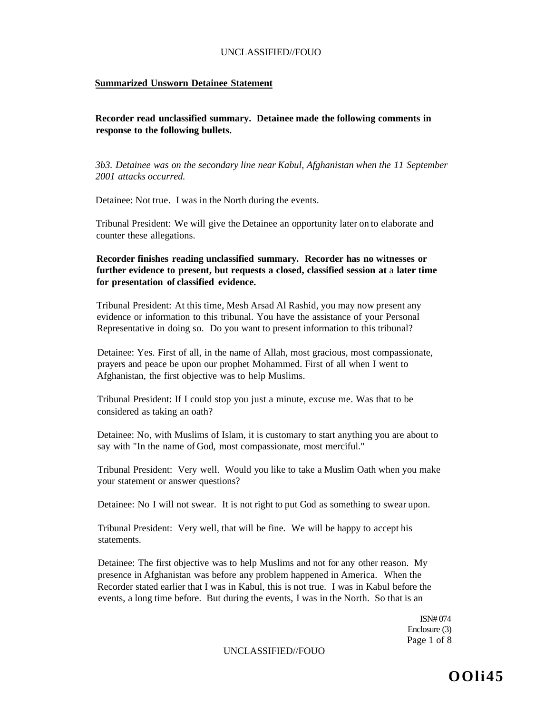#### **Summarized Unsworn Detainee Statement**

## **Recorder read unclassified summary. Detainee made the following comments in response to the following bullets.**

*3b3. Detainee was on the secondary line near Kabul, Afghanistan when the 11 September 2001 attacks occurred.* 

Detainee: Not true. I was in the North during the events.

Tribunal President: We will give the Detainee an opportunity later on to elaborate and counter these allegations.

**Recorder finishes reading unclassified summary. Recorder has no witnesses or further evidence to present, but requests a closed, classified session at** a **later time for presentation of classified evidence.** 

Tribunal President: At this time, Mesh Arsad Al Rashid, you may now present any evidence or information to this tribunal. You have the assistance of your Personal Representative in doing so. Do you want to present information to this tribunal?

Detainee: Yes. First of all, in the name of Allah, most gracious, most compassionate, prayers and peace be upon our prophet Mohammed. First of all when I went to Afghanistan, the first objective was to help Muslims.

Tribunal President: If I could stop you just a minute, excuse me. Was that to be considered as taking an oath?

Detainee: No, with Muslims of Islam, it is customary to start anything you are about to say with "In the name of God, most compassionate, most merciful."

Tribunal President: Very well. Would you like to take a Muslim Oath when you make your statement or answer questions?

Detainee: No I will not swear. It is not right to put God as something to swear upon.

Tribunal President: Very well, that will be fine. We will be happy to accept his statements.

Detainee: The first objective was to help Muslims and not for any other reason. My presence in Afghanistan was before any problem happened in America. When the Recorder stated earlier that I was in Kabul, this is not true. I was in Kabul before the events, a long time before. But during the events, I was in the North. So that is an

> ISN# 074 Enclosure (3) Page 1 of 8

UNCLASSIFIED//FOUO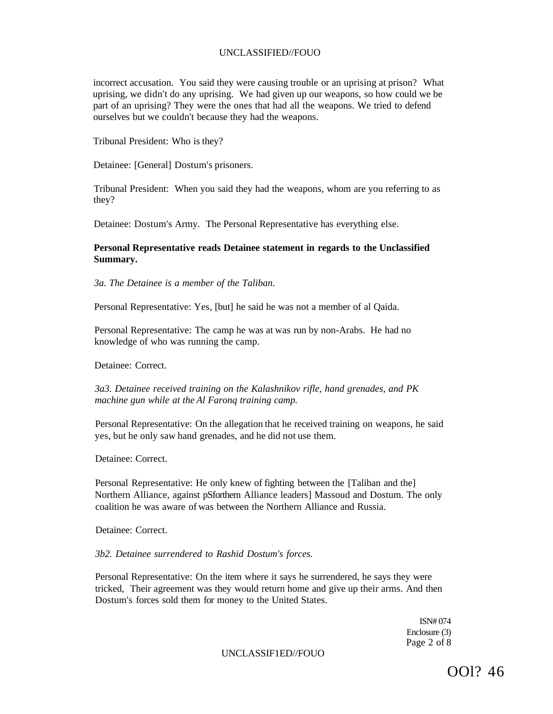incorrect accusation. You said they were causing trouble or an uprising at prison? What uprising, we didn't do any uprising. We had given up our weapons, so how could we be part of an uprising? They were the ones that had all the weapons. We tried to defend ourselves but we couldn't because they had the weapons.

Tribunal President: Who is they?

Detainee: [General] Dostum's prisoners.

Tribunal President: When you said they had the weapons, whom are you referring to as they?

Detainee: Dostum's Army. The Personal Representative has everything else.

#### **Personal Representative reads Detainee statement in regards to the Unclassified Summary.**

*3a. The Detainee is a member of the Taliban.* 

Personal Representative: Yes, [but] he said he was not a member of al Qaida.

Personal Representative: The camp he was at was run by non-Arabs. He had no knowledge of who was running the camp.

Detainee: Correct.

*3a3. Detainee received training on the Kalashnikov rifle, hand grenades, and PK machine gun while at the Al Faronq training camp.* 

Personal Representative: On the allegation that he received training on weapons, he said yes, but he only saw hand grenades, and he did not use them.

Detainee: Correct.

Personal Representative: He only knew of fighting between the [Taliban and the] Northern Alliance, against pSforthern Alliance leaders] Massoud and Dostum. The only coalition he was aware of was between the Northern Alliance and Russia.

Detainee: Correct.

*3b2. Detainee surrendered to Rashid Dostum's forces.* 

Personal Representative: On the item where it says he surrendered, he says they were tricked, Their agreement was they would return home and give up their arms. And then Dostum's forces sold them for money to the United States.

> ISN# 074 Enclosure (3) Page 2 of 8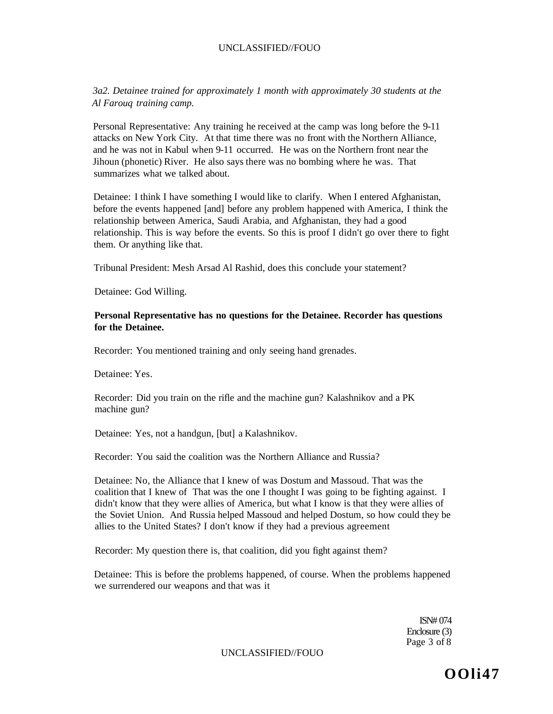*3a2. Detainee trained for approximately 1 month with approximately 30 students at the Al Farouq training camp.* 

Personal Representative: Any training he received at the camp was long before the 9-11 attacks on New York City. At that time there was no front with the Northern Alliance, and he was not in Kabul when 9-11 occurred. He was on the Northern front near the Jihoun (phonetic) River. He also says there was no bombing where he was. That summarizes what we talked about.

Detainee: I think I have something I would like to clarify. When I entered Afghanistan, before the events happened [and] before any problem happened with America, I think the relationship between America, Saudi Arabia, and Afghanistan, they had a good relationship. This is way before the events. So this is proof I didn't go over there to fight them. Or anything like that.

Tribunal President: Mesh Arsad Al Rashid, does this conclude your statement?

Detainee: God Willing.

#### **Personal Representative has no questions for the Detainee. Recorder has questions for the Detainee.**

Recorder: You mentioned training and only seeing hand grenades.

Detainee: Yes.

Recorder: Did you train on the rifle and the machine gun? Kalashnikov and a PK machine gun?

Detainee: Yes, not a handgun, [but] a Kalashnikov.

Recorder: You said the coalition was the Northern Alliance and Russia?

Detainee: No, the Alliance that I knew of was Dostum and Massoud. That was the coalition that I knew of That was the one I thought I was going to be fighting against. I didn't know that they were allies of America, but what I know is that they were allies of the Soviet Union. And Russia helped Massoud and helped Dostum, so how could they be allies to the United States? I don't know if they had a previous agreement

Recorder: My question there is, that coalition, did you fight against them?

Detainee: This is before the problems happened, of course. When the problems happened we surrendered our weapons and that was it

> ISN# 074 Enclosure (3) Page 3 of 8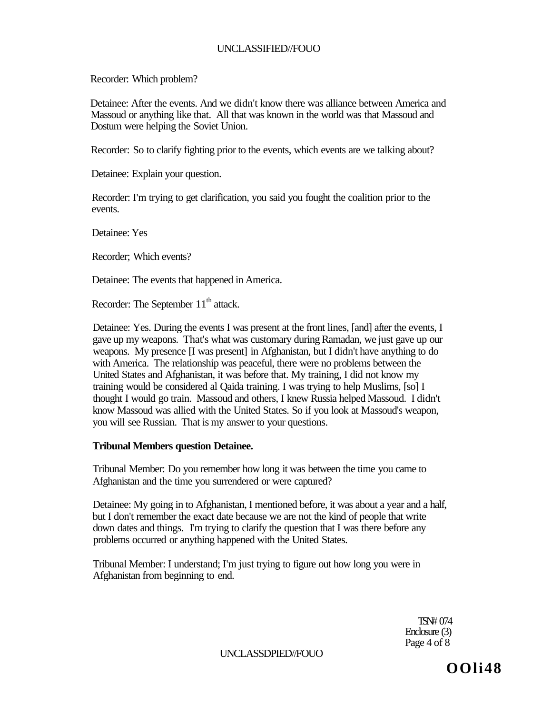Recorder: Which problem?

Detainee: After the events. And we didn't know there was alliance between America and Massoud or anything like that. All that was known in the world was that Massoud and Dostum were helping the Soviet Union.

Recorder: So to clarify fighting prior to the events, which events are we talking about?

Detainee: Explain your question.

Recorder: I'm trying to get clarification, you said you fought the coalition prior to the events.

Detainee: Yes

Recorder; Which events?

Detainee: The events that happened in America.

Recorder: The September 11<sup>th</sup> attack.

Detainee: Yes. During the events I was present at the front lines, [and] after the events, I gave up my weapons. That's what was customary during Ramadan, we just gave up our weapons. My presence [I was present] in Afghanistan, but I didn't have anything to do with America. The relationship was peaceful, there were no problems between the United States and Afghanistan, it was before that. My training, I did not know my training would be considered al Qaida training. I was trying to help Muslims, [so] I thought I would go train. Massoud and others, I knew Russia helped Massoud. I didn't know Massoud was allied with the United States. So if you look at Massoud's weapon, you will see Russian. That is my answer to your questions.

#### **Tribunal Members question Detainee.**

Tribunal Member: Do you remember how long it was between the time you came to Afghanistan and the time you surrendered or were captured?

Detainee: My going in to Afghanistan, I mentioned before, it was about a year and a half, but I don't remember the exact date because we are not the kind of people that write down dates and things. I'm trying to clarify the question that I was there before any problems occurred or anything happened with the United States.

Tribunal Member: I understand; I'm just trying to figure out how long you were in Afghanistan from beginning to end.

> TSN# 074 Enclosure (3) Page 4 of 8

UNCLASSDPIED//FOUO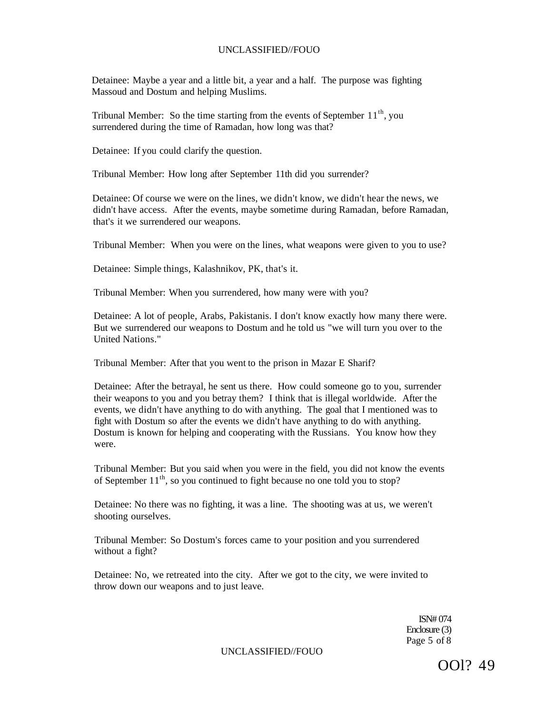Detainee: Maybe a year and a little bit, a year and a half. The purpose was fighting Massoud and Dostum and helping Muslims.

Tribunal Member: So the time starting from the events of September  $11<sup>th</sup>$ , you surrendered during the time of Ramadan, how long was that?

Detainee: If you could clarify the question.

Tribunal Member: How long after September 11th did you surrender?

Detainee: Of course we were on the lines, we didn't know, we didn't hear the news, we didn't have access. After the events, maybe sometime during Ramadan, before Ramadan, that's it we surrendered our weapons.

Tribunal Member: When you were on the lines, what weapons were given to you to use?

Detainee: Simple things, Kalashnikov, PK, that's it.

Tribunal Member: When you surrendered, how many were with you?

Detainee: A lot of people, Arabs, Pakistanis. I don't know exactly how many there were. But we surrendered our weapons to Dostum and he told us "we will turn you over to the United Nations."

Tribunal Member: After that you went to the prison in Mazar E Sharif?

Detainee: After the betrayal, he sent us there. How could someone go to you, surrender their weapons to you and you betray them? I think that is illegal worldwide. After the events, we didn't have anything to do with anything. The goal that I mentioned was to fight with Dostum so after the events we didn't have anything to do with anything. Dostum is known for helping and cooperating with the Russians. You know how they were.

Tribunal Member: But you said when you were in the field, you did not know the events of September  $11<sup>th</sup>$ , so you continued to fight because no one told you to stop?

Detainee: No there was no fighting, it was a line. The shooting was at us, we weren't shooting ourselves.

Tribunal Member: So Dostum's forces came to your position and you surrendered without a fight?

Detainee: No, we retreated into the city. After we got to the city, we were invited to throw down our weapons and to just leave.

> ISN# 074 Enclosure (3) Page 5 of 8

UNCLASSIFIED//FOUO

OOl? 49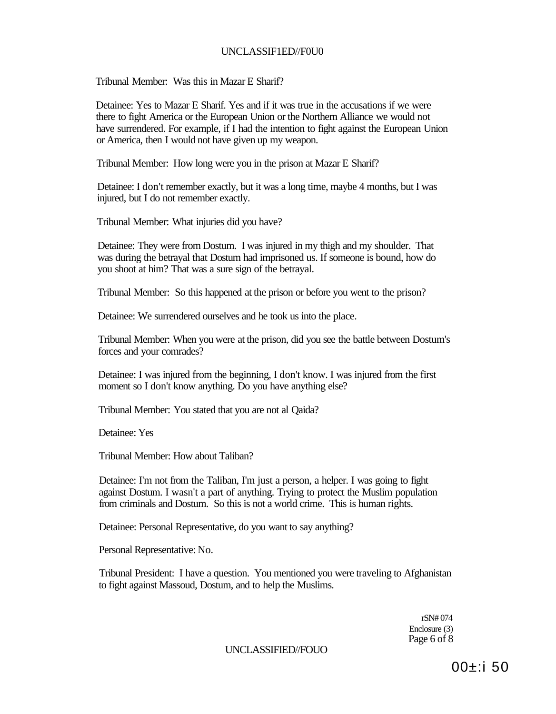## UNCLASSIF1ED//F0U0

Tribunal Member: Was this in Mazar E Sharif?

Detainee: Yes to Mazar E Sharif. Yes and if it was true in the accusations if we were there to fight America or the European Union or the Northern Alliance we would not have surrendered. For example, if I had the intention to fight against the European Union or America, then I would not have given up my weapon.

Tribunal Member: How long were you in the prison at Mazar E Sharif?

Detainee: I don't remember exactly, but it was a long time, maybe 4 months, but I was injured, but I do not remember exactly.

Tribunal Member: What injuries did you have?

Detainee: They were from Dostum. I was injured in my thigh and my shoulder. That was during the betrayal that Dostum had imprisoned us. If someone is bound, how do you shoot at him? That was a sure sign of the betrayal.

Tribunal Member: So this happened at the prison or before you went to the prison?

Detainee: We surrendered ourselves and he took us into the place.

Tribunal Member: When you were at the prison, did you see the battle between Dostum's forces and your comrades?

Detainee: I was injured from the beginning, I don't know. I was injured from the first moment so I don't know anything. Do you have anything else?

Tribunal Member: You stated that you are not al Qaida?

Detainee: Yes

Tribunal Member: How about Taliban?

Detainee: I'm not from the Taliban, I'm just a person, a helper. I was going to fight against Dostum. I wasn't a part of anything. Trying to protect the Muslim population from criminals and Dostum. So this is not a world crime. This is human rights.

Detainee: Personal Representative, do you want to say anything?

Personal Representative: No.

Tribunal President: I have a question. You mentioned you were traveling to Afghanistan to fight against Massoud, Dostum, and to help the Muslims.

> rSN# 074 Enclosure (3) Page 6 of 8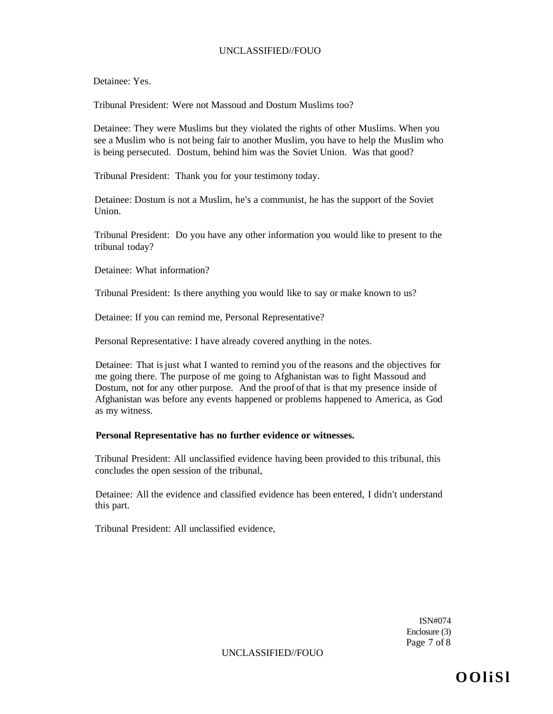Detainee: Yes.

Tribunal President: Were not Massoud and Dostum Muslims too?

Detainee: They were Muslims but they violated the rights of other Muslims. When you see a Muslim who is not being fair to another Muslim, you have to help the Muslim who is being persecuted. Dostum, behind him was the Soviet Union. Was that good?

Tribunal President: Thank you for your testimony today.

Detainee: Dostum is not a Muslim, he's a communist, he has the support of the Soviet Union.

Tribunal President: Do you have any other information you would like to present to the tribunal today?

Detainee: What information?

Tribunal President: Is there anything you would like to say or make known to us?

Detainee: If you can remind me, Personal Representative?

Personal Representative: I have already covered anything in the notes.

Detainee: That is just what I wanted to remind you of the reasons and the objectives for me going there. The purpose of me going to Afghanistan was to fight Massoud and Dostum, not for any other purpose. And the proof of that is that my presence inside of Afghanistan was before any events happened or problems happened to America, as God as my witness.

#### **Personal Representative has no further evidence or witnesses.**

Tribunal President: All unclassified evidence having been provided to this tribunal, this concludes the open session of the tribunal,

Detainee: All the evidence and classified evidence has been entered, I didn't understand this part.

Tribunal President: All unclassified evidence,

ISN#074 Enclosure (3) Page 7 of 8

UNCLASSIFIED//FOUO

**OOliSl**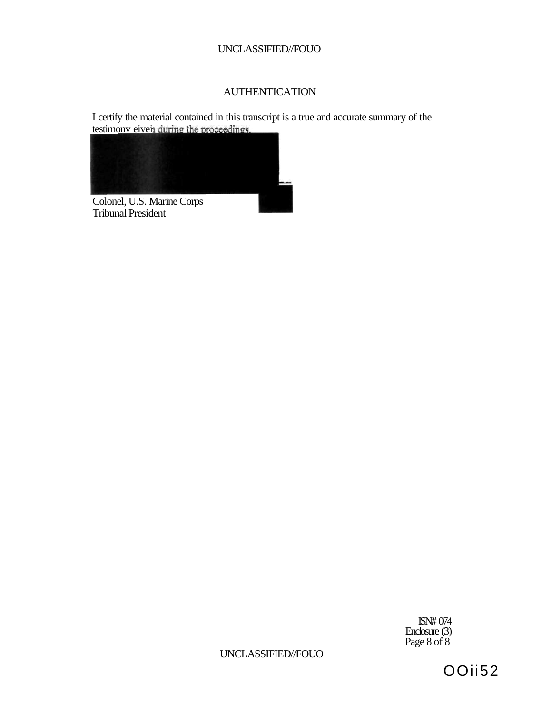## AUTHENTICATION

I certify the material contained in this transcript is a true and accurate summary of the testimony eiveit



Colonel, U.S. Marine Corps Tribunal President

> ISN# 074 Enclosure (3) Page 8 of 8

UNCLASSIFIED//FOUO

OOii52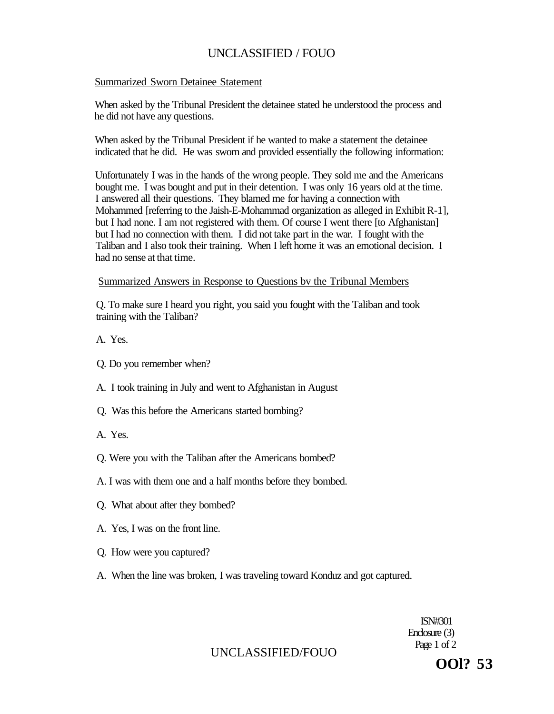#### Summarized Sworn Detainee Statement

When asked by the Tribunal President the detainee stated he understood the process and he did not have any questions.

When asked by the Tribunal President if he wanted to make a statement the detainee indicated that he did. He was sworn and provided essentially the following information:

Unfortunately I was in the hands of the wrong people. They sold me and the Americans bought me. I was bought and put in their detention. I was only 16 years old at the time. I answered all their questions. They blamed me for having a connection with Mohammed [referring to the Jaish-E-Mohammad organization as alleged in Exhibit R-1], but I had none. I am not registered with them. Of course I went there [to Afghanistan] but I had no connection with them. I did not take part in the war. I fought with the Taliban and I also took their training. When I left home it was an emotional decision. I had no sense at that time.

Summarized Answers in Response to Questions bv the Tribunal Members

Q. To make sure I heard you right, you said you fought with the Taliban and took training with the Taliban?

- A. Yes.
- Q. Do you remember when?
- A. I took training in July and went to Afghanistan in August
- Q. Was this before the Americans started bombing?
- A. Yes.
- Q. Were you with the Taliban after the Americans bombed?
- A. I was with them one and a half months before they bombed.
- Q. What about after they bombed?
- A. Yes, I was on the front line.
- Q. How were you captured?
- A. When the line was broken, I was traveling toward Konduz and got captured.

ISN#301 Enclosure (3)

# Page 1 of 2 UNCLASSIFIED/FOUO

**OOl? 53**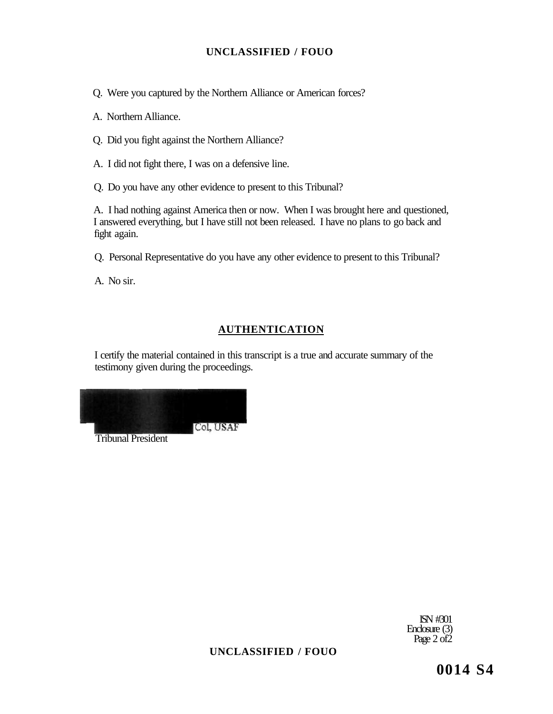- Q. Were you captured by the Northern Alliance or American forces?
- A. Northern Alliance.
- Q. Did you fight against the Northern Alliance?
- A. I did not fight there, I was on a defensive line.
- Q. Do you have any other evidence to present to this Tribunal?

A. I had nothing against America then or now. When I was brought here and questioned, I answered everything, but I have still not been released. I have no plans to go back and fight again.

Q. Personal Representative do you have any other evidence to present to this Tribunal?

A. No sir.

## **AUTHENTICATION**

I certify the material contained in this transcript is a true and accurate summary of the testimony given during the proceedings.

| Col, USAF |
|-----------|

Tribunal President

ISN #301 Enclosure (3) Page 2 of 2

## **UNCLASSIFIED / FOUO**

**0014 S4**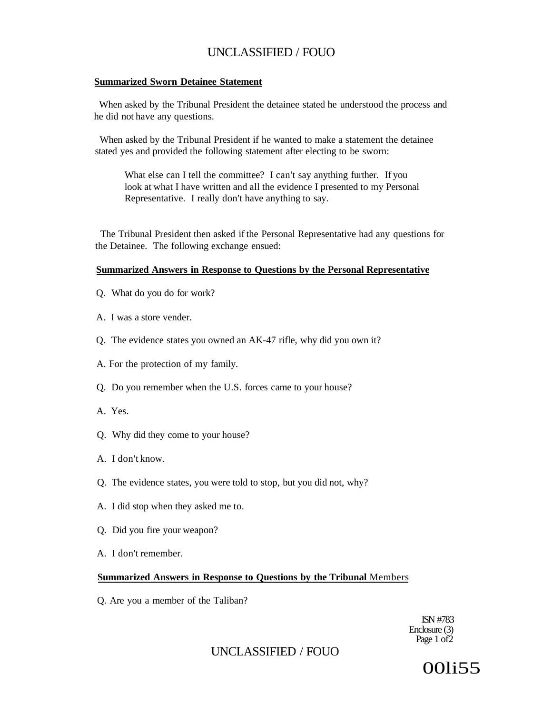#### **Summarized Sworn Detainee Statement**

When asked by the Tribunal President the detainee stated he understood the process and he did not have any questions.

When asked by the Tribunal President if he wanted to make a statement the detainee stated yes and provided the following statement after electing to be sworn:

What else can I tell the committee? I can't say anything further. If you look at what I have written and all the evidence I presented to my Personal Representative. I really don't have anything to say.

The Tribunal President then asked if the Personal Representative had any questions for the Detainee. The following exchange ensued:

## **Summarized Answers in Response to Questions by the Personal Representative**

- Q. What do you do for work?
- A. I was a store vender.
- Q. The evidence states you owned an AK-47 rifle, why did you own it?
- A. For the protection of my family.
- Q. Do you remember when the U.S. forces came to your house?
- A. Yes.
- Q. Why did they come to your house?
- A. I don't know.
- Q. The evidence states, you were told to stop, but you did not, why?
- A. I did stop when they asked me to.
- Q. Did you fire your weapon?
- A. I don't remember.

## **Summarized Answers in Response to Questions by the Tribunal** Members

Q. Are you a member of the Taliban?

ISN #783 Enclosure (3) Page 1 of 2

# UNCLASSIFIED / FOUO

00li55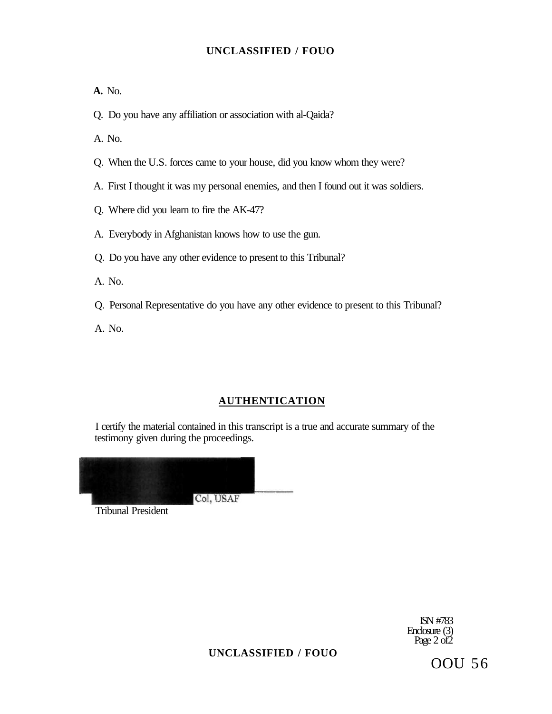**A.** No.

Q. Do you have any affiliation or association with al-Qaida?

A. No.

- Q. When the U.S. forces came to your house, did you know whom they were?
- A. First I thought it was my personal enemies, and then I found out it was soldiers.
- Q. Where did you learn to fire the AK-47?
- A. Everybody in Afghanistan knows how to use the gun.
- Q. Do you have any other evidence to present to this Tribunal?

A. No.

Q. Personal Representative do you have any other evidence to present to this Tribunal?

A. No.

## **AUTHENTICATION**

I certify the material contained in this transcript is a true and accurate summary of the testimony given during the proceedings.



Tribunal President

ISN #783 Enclosure (3) Page 2 of 2

**UNCLASSIFIED / FOUO** 

OOU 56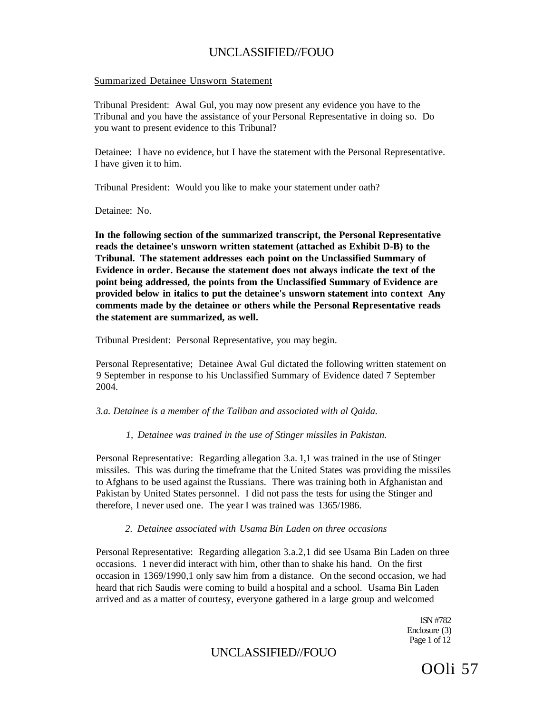#### Summarized Detainee Unsworn Statement

Tribunal President: Awal Gul, you may now present any evidence you have to the Tribunal and you have the assistance of your Personal Representative in doing so. Do you want to present evidence to this Tribunal?

Detainee: I have no evidence, but I have the statement with the Personal Representative. I have given it to him.

Tribunal President: Would you like to make your statement under oath?

Detainee: No.

**In the following section of the summarized transcript, the Personal Representative reads the detainee's unsworn written statement (attached as Exhibit D-B) to the Tribunal. The statement addresses each point on the Unclassified Summary of Evidence in order. Because the statement does not always indicate the text of the point being addressed, the points from the Unclassified Summary of Evidence are provided below in italics to put the detainee's unsworn statement into context Any comments made by the detainee or others while the Personal Representative reads the statement are summarized, as well.** 

Tribunal President: Personal Representative, you may begin.

Personal Representative; Detainee Awal Gul dictated the following written statement on 9 September in response to his Unclassified Summary of Evidence dated 7 September 2004.

## *3.a. Detainee is a member of the Taliban and associated with al Qaida.*

## *1, Detainee was trained in the use of Stinger missiles in Pakistan.*

Personal Representative: Regarding allegation 3.a. 1,1 was trained in the use of Stinger missiles. This was during the timeframe that the United States was providing the missiles to Afghans to be used against the Russians. There was training both in Afghanistan and Pakistan by United States personnel. I did not pass the tests for using the Stinger and therefore, I never used one. The year I was trained was 1365/1986.

## *2. Detainee associated with Usama Bin Laden on three occasions*

Personal Representative: Regarding allegation 3.a.2,1 did see Usama Bin Laden on three occasions. 1 never did interact with him, other than to shake his hand. On the first occasion in 1369/1990,1 only saw him from a distance. On the second occasion, we had heard that rich Saudis were coming to build a hospital and a school. Usama Bin Laden arrived and as a matter of courtesy, everyone gathered in a large group and welcomed

> 1SN #782 Enclosure (3) Page 1 of 12

# UNCLASSIFIED//FOUO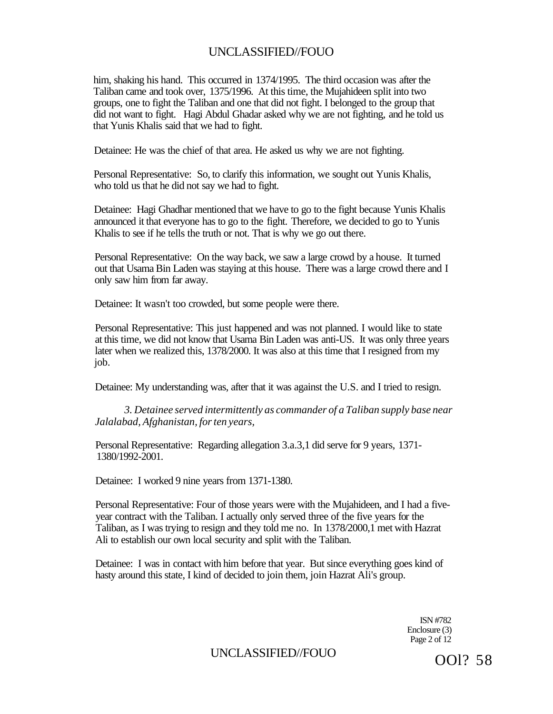him, shaking his hand. This occurred in 1374/1995. The third occasion was after the Taliban came and took over, 1375/1996. At this time, the Mujahideen split into two groups, one to fight the Taliban and one that did not fight. I belonged to the group that did not want to fight. Hagi Abdul Ghadar asked why we are not fighting, and he told us that Yunis Khalis said that we had to fight.

Detainee: He was the chief of that area. He asked us why we are not fighting.

Personal Representative: So, to clarify this information, we sought out Yunis Khalis, who told us that he did not say we had to fight.

Detainee: Hagi Ghadhar mentioned that we have to go to the fight because Yunis Khalis announced it that everyone has to go to the fight. Therefore, we decided to go to Yunis Khalis to see if he tells the truth or not. That is why we go out there.

Personal Representative: On the way back, we saw a large crowd by a house. It turned out that Usama Bin Laden was staying at this house. There was a large crowd there and I only saw him from far away.

Detainee: It wasn't too crowded, but some people were there.

Personal Representative: This just happened and was not planned. I would like to state at this time, we did not know that Usama Bin Laden was anti-US. It was only three years later when we realized this, 1378/2000. It was also at this time that I resigned from my job.

Detainee: My understanding was, after that it was against the U.S. and I tried to resign.

*3. Detainee served intermittently as commander of a Taliban supply base near Jalalabad, Afghanistan, for ten years,* 

Personal Representative: Regarding allegation 3.a.3,1 did serve for 9 years, 1371- 1380/1992-2001.

Detainee: I worked 9 nine years from 1371-1380.

Personal Representative: Four of those years were with the Mujahideen, and I had a fiveyear contract with the Taliban. I actually only served three of the five years for the Taliban, as I was trying to resign and they told me no. In 1378/2000,1 met with Hazrat Ali to establish our own local security and split with the Taliban.

Detainee: I was in contact with him before that year. But since everything goes kind of hasty around this state, I kind of decided to join them, join Hazrat Ali's group.

> ISN #782 Enclosure (3) Page 2 of 12

UNCLASSIFIED//FOUO OOI? 58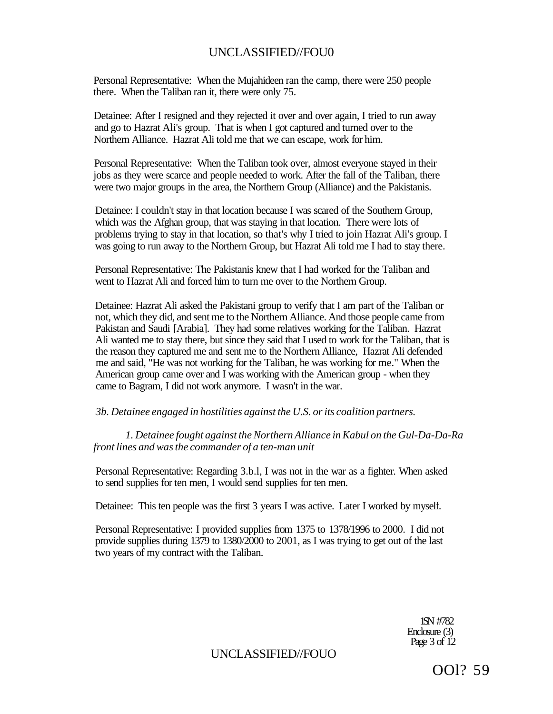Personal Representative: When the Mujahideen ran the camp, there were 250 people there. When the Taliban ran it, there were only 75.

Detainee: After I resigned and they rejected it over and over again, I tried to run away and go to Hazrat Ali's group. That is when I got captured and turned over to the Northern Alliance. Hazrat Ali told me that we can escape, work for him.

Personal Representative: When the Taliban took over, almost everyone stayed in their jobs as they were scarce and people needed to work. After the fall of the Taliban, there were two major groups in the area, the Northern Group (Alliance) and the Pakistanis.

Detainee: I couldn't stay in that location because I was scared of the Southern Group, which was the Afghan group, that was staying in that location. There were lots of problems trying to stay in that location, so that's why I tried to join Hazrat Ali's group. I was going to run away to the Northern Group, but Hazrat Ali told me I had to stay there.

Personal Representative: The Pakistanis knew that I had worked for the Taliban and went to Hazrat Ali and forced him to turn me over to the Northern Group.

Detainee: Hazrat Ali asked the Pakistani group to verify that I am part of the Taliban or not, which they did, and sent me to the Northern Alliance. And those people came from Pakistan and Saudi [Arabia]. They had some relatives working for the Taliban. Hazrat Ali wanted me to stay there, but since they said that I used to work for the Taliban, that is the reason they captured me and sent me to the Northern Alliance, Hazrat Ali defended me and said, "He was not working for the Taliban, he was working for me." When the American group came over and I was working with the American group - when they came to Bagram, I did not work anymore. I wasn't in the war.

*3b. Detainee engaged in hostilities against the U.S. or its coalition partners.* 

*1. Detainee fought against the Northern Alliance in Kabul on the Gul-Da-Da-Ra front lines and was the commander of a ten-man unit* 

Personal Representative: Regarding 3.b.l, I was not in the war as a fighter. When asked to send supplies for ten men, I would send supplies for ten men.

Detainee: This ten people was the first 3 years I was active. Later I worked by myself.

Personal Representative: I provided supplies from 1375 to 1378/1996 to 2000. I did not provide supplies during 1379 to 1380/2000 to 2001, as I was trying to get out of the last two years of my contract with the Taliban.

> 1SN #782 Enclosure (3) Page 3 of 12

UNCLASSIFIED//FOUO

OOl? 59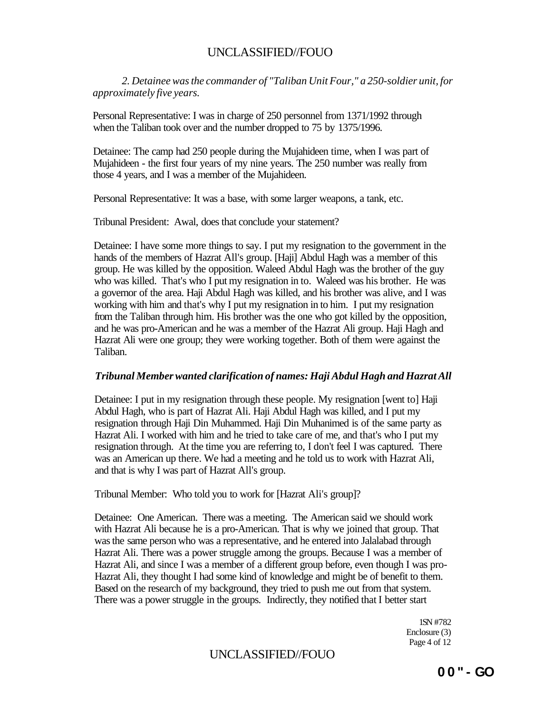*2. Detainee was the commander of "Taliban Unit Four," a 250-soldier unit, for approximately five years.* 

Personal Representative: I was in charge of 250 personnel from 1371/1992 through when the Taliban took over and the number dropped to 75 by 1375/1996.

Detainee: The camp had 250 people during the Mujahideen time, when I was part of Mujahideen - the first four years of my nine years. The 250 number was really from those 4 years, and I was a member of the Mujahideen.

Personal Representative: It was a base, with some larger weapons, a tank, etc.

Tribunal President: Awal, does that conclude your statement?

Detainee: I have some more things to say. I put my resignation to the government in the hands of the members of Hazrat All's group. [Haji] Abdul Hagh was a member of this group. He was killed by the opposition. Waleed Abdul Hagh was the brother of the guy who was killed. That's who I put my resignation in to. Waleed was his brother. He was a governor of the area. Haji Abdul Hagh was killed, and his brother was alive, and I was working with him and that's why I put my resignation in to him. I put my resignation from the Taliban through him. His brother was the one who got killed by the opposition, and he was pro-American and he was a member of the Hazrat Ali group. Haji Hagh and Hazrat Ali were one group; they were working together. Both of them were against the Taliban.

#### *Tribunal Member wanted clarification of names: Haji Abdul Hagh and Hazrat All*

Detainee: I put in my resignation through these people. My resignation [went to] Haji Abdul Hagh, who is part of Hazrat Ali. Haji Abdul Hagh was killed, and I put my resignation through Haji Din Muhammed. Haji Din Muhanimed is of the same party as Hazrat Ali. I worked with him and he tried to take care of me, and that's who I put my resignation through. At the time you are referring to, I don't feel I was captured. There was an American up there. We had a meeting and he told us to work with Hazrat Ali, and that is why I was part of Hazrat All's group.

Tribunal Member: Who told you to work for [Hazrat Ali's group]?

Detainee: One American. There was a meeting. The American said we should work with Hazrat Ali because he is a pro-American. That is why we joined that group. That was the same person who was a representative, and he entered into Jalalabad through Hazrat Ali. There was a power struggle among the groups. Because I was a member of Hazrat Ali, and since I was a member of a different group before, even though I was pro-Hazrat Ali, they thought I had some kind of knowledge and might be of benefit to them. Based on the research of my background, they tried to push me out from that system. There was a power struggle in the groups. Indirectly, they notified that I better start

> 1SN #782 Enclosure (3) Page 4 of 12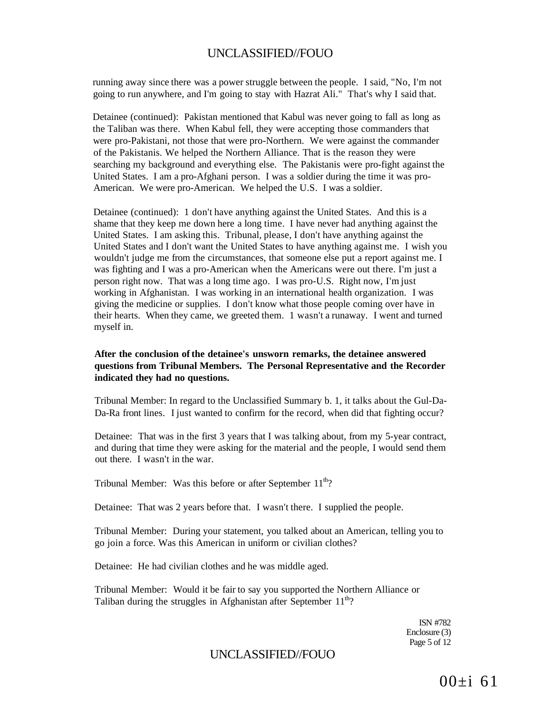running away since there was a power struggle between the people. I said, "No, I'm not going to run anywhere, and I'm going to stay with Hazrat Ali." That's why I said that.

Detainee (continued): Pakistan mentioned that Kabul was never going to fall as long as the Taliban was there. When Kabul fell, they were accepting those commanders that were pro-Pakistani, not those that were pro-Northern. We were against the commander of the Pakistanis. We helped the Northern Alliance. That is the reason they were searching my background and everything else. The Pakistanis were pro-fight against the United States. I am a pro-Afghani person. I was a soldier during the time it was pro-American. We were pro-American. We helped the U.S. I was a soldier.

Detainee (continued): 1 don't have anything against the United States. And this is a shame that they keep me down here a long time. I have never had anything against the United States. I am asking this. Tribunal, please, I don't have anything against the United States and I don't want the United States to have anything against me. I wish you wouldn't judge me from the circumstances, that someone else put a report against me. I was fighting and I was a pro-American when the Americans were out there. I'm just a person right now. That was a long time ago. I was pro-U.S. Right now, I'm just working in Afghanistan. I was working in an international health organization. I was giving the medicine or supplies. I don't know what those people coming over have in their hearts. When they came, we greeted them. 1 wasn't a runaway. I went and turned myself in.

## **After the conclusion of the detainee's unsworn remarks, the detainee answered questions from Tribunal Members. The Personal Representative and the Recorder indicated they had no questions.**

Tribunal Member: In regard to the Unclassified Summary b. 1, it talks about the Gul-Da-Da-Ra front lines. I just wanted to confirm for the record, when did that fighting occur?

Detainee: That was in the first 3 years that I was talking about, from my 5-year contract, and during that time they were asking for the material and the people, I would send them out there. I wasn't in the war.

Tribunal Member: Was this before or after September  $11^{th}$ ?

Detainee: That was 2 years before that. I wasn't there. I supplied the people.

Tribunal Member: During your statement, you talked about an American, telling you to go join a force. Was this American in uniform or civilian clothes?

Detainee: He had civilian clothes and he was middle aged.

Tribunal Member: Would it be fair to say you supported the Northern Alliance or Taliban during the struggles in Afghanistan after September  $11^{th}$ ?

> ISN #782 Enclosure (3) Page 5 of 12

# UNCLASSIFIED//FOUO

 $00+i$  61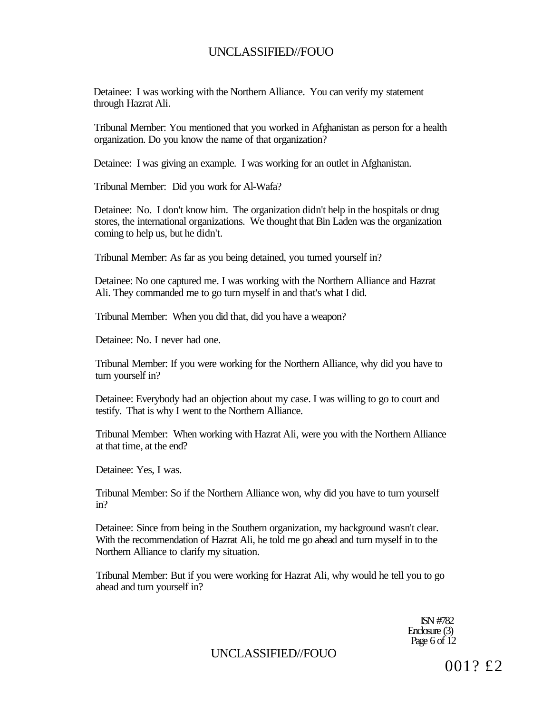Detainee: I was working with the Northern Alliance. You can verify my statement through Hazrat Ali.

Tribunal Member: You mentioned that you worked in Afghanistan as person for a health organization. Do you know the name of that organization?

Detainee: I was giving an example. I was working for an outlet in Afghanistan.

Tribunal Member: Did you work for Al-Wafa?

Detainee: No. I don't know him. The organization didn't help in the hospitals or drug stores, the international organizations. We thought that Bin Laden was the organization coming to help us, but he didn't.

Tribunal Member: As far as you being detained, you turned yourself in?

Detainee: No one captured me. I was working with the Northern Alliance and Hazrat Ali. They commanded me to go turn myself in and that's what I did.

Tribunal Member: When you did that, did you have a weapon?

Detainee: No. I never had one.

Tribunal Member: If you were working for the Northern Alliance, why did you have to turn yourself in?

Detainee: Everybody had an objection about my case. I was willing to go to court and testify. That is why I went to the Northern Alliance.

Tribunal Member: When working with Hazrat Ali, were you with the Northern Alliance at that time, at the end?

Detainee: Yes, I was.

Tribunal Member: So if the Northern Alliance won, why did you have to turn yourself in?

Detainee: Since from being in the Southern organization, my background wasn't clear. With the recommendation of Hazrat Ali, he told me go ahead and turn myself in to the Northern Alliance to clarify my situation.

Tribunal Member: But if you were working for Hazrat Ali, why would he tell you to go ahead and turn yourself in?

> ISN #782 Enclosure (3) Page 6 of  $12$

## UNCLASSIFIED//FOUO

001? £2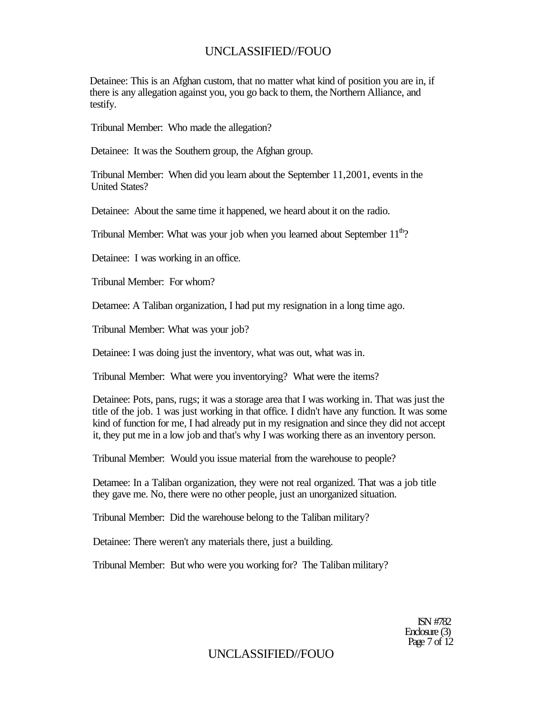Detainee: This is an Afghan custom, that no matter what kind of position you are in, if there is any allegation against you, you go back to them, the Northern Alliance, and testify.

Tribunal Member: Who made the allegation?

Detainee: It was the Southern group, the Afghan group.

Tribunal Member: When did you learn about the September 11,2001, events in the United States?

Detainee: About the same time it happened, we heard about it on the radio.

Tribunal Member: What was your job when you learned about September  $11<sup>th</sup>$ ?

Detainee: I was working in an office.

Tribunal Member: For whom?

Detamee: A Taliban organization, I had put my resignation in a long time ago.

Tribunal Member: What was your job?

Detainee: I was doing just the inventory, what was out, what was in.

Tribunal Member: What were you inventorying? What were the items?

Detainee: Pots, pans, rugs; it was a storage area that I was working in. That was just the title of the job. 1 was just working in that office. I didn't have any function. It was some kind of function for me, I had already put in my resignation and since they did not accept it, they put me in a low job and that's why I was working there as an inventory person.

Tribunal Member: Would you issue material from the warehouse to people?

Detamee: In a Taliban organization, they were not real organized. That was a job title they gave me. No, there were no other people, just an unorganized situation.

Tribunal Member: Did the warehouse belong to the Taliban military?

Detainee: There weren't any materials there, just a building.

Tribunal Member: But who were you working for? The Taliban military?

ISN #782 Enclosure (3) Page 7 of 12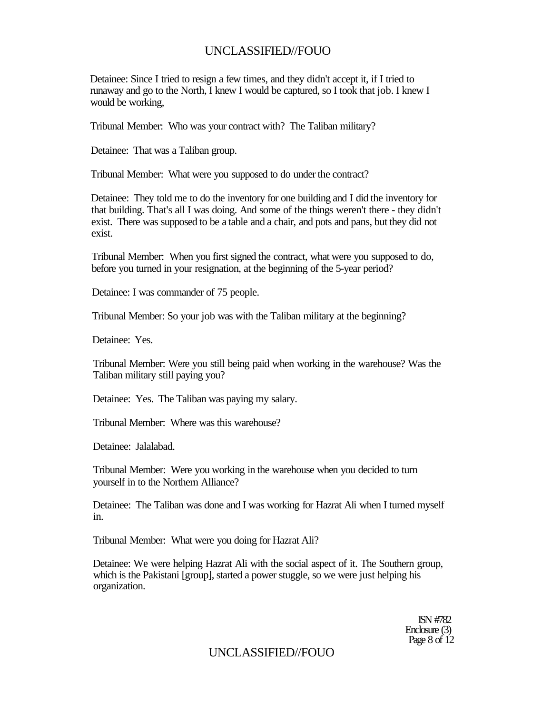Detainee: Since I tried to resign a few times, and they didn't accept it, if I tried to runaway and go to the North, I knew I would be captured, so I took that job. I knew I would be working,

Tribunal Member: Who was your contract with? The Taliban military?

Detainee: That was a Taliban group.

Tribunal Member: What were you supposed to do under the contract?

Detainee: They told me to do the inventory for one building and I did the inventory for that building. That's all I was doing. And some of the things weren't there - they didn't exist. There was supposed to be a table and a chair, and pots and pans, but they did not exist.

Tribunal Member: When you first signed the contract, what were you supposed to do, before you turned in your resignation, at the beginning of the 5-year period?

Detainee: I was commander of 75 people.

Tribunal Member: So your job was with the Taliban military at the beginning?

Detainee: Yes.

Tribunal Member: Were you still being paid when working in the warehouse? Was the Taliban military still paying you?

Detainee: Yes. The Taliban was paying my salary.

Tribunal Member: Where was this warehouse?

Detainee: Jalalabad.

Tribunal Member: Were you working in the warehouse when you decided to turn yourself in to the Northern Alliance?

Detainee: The Taliban was done and I was working for Hazrat Ali when I turned myself in.

Tribunal Member: What were you doing for Hazrat Ali?

Detainee: We were helping Hazrat Ali with the social aspect of it. The Southern group, which is the Pakistani [group], started a power stuggle, so we were just helping his organization.

> ISN #782 Enclosure (3) Page 8 of 12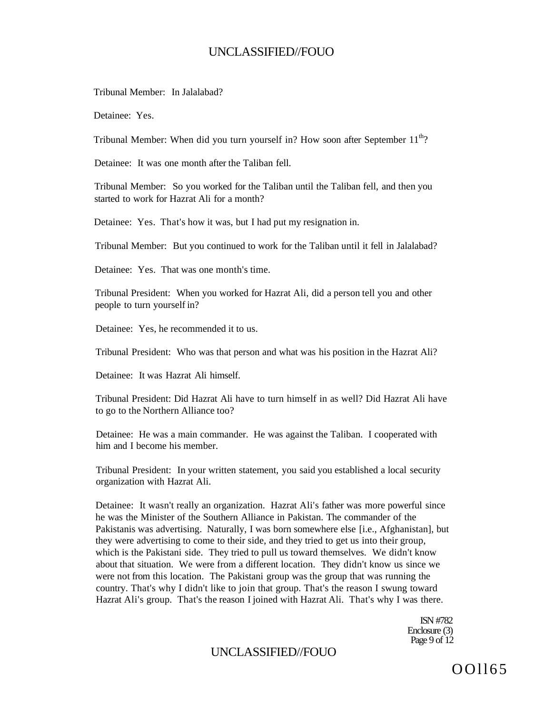Tribunal Member: In Jalalabad?

Detainee: Yes.

Tribunal Member: When did you turn yourself in? How soon after September  $11<sup>th</sup>$ ?

Detainee: It was one month after the Taliban fell.

Tribunal Member: So you worked for the Taliban until the Taliban fell, and then you started to work for Hazrat Ali for a month?

Detainee: Yes. That's how it was, but I had put my resignation in.

Tribunal Member: But you continued to work for the Taliban until it fell in Jalalabad?

Detainee: Yes. That was one month's time.

Tribunal President: When you worked for Hazrat Ali, did a person tell you and other people to turn yourself in?

Detainee: Yes, he recommended it to us.

Tribunal President: Who was that person and what was his position in the Hazrat Ali?

Detainee: It was Hazrat Ali himself.

Tribunal President: Did Hazrat Ali have to turn himself in as well? Did Hazrat Ali have to go to the Northern Alliance too?

Detainee: He was a main commander. He was against the Taliban. I cooperated with him and I become his member.

Tribunal President: In your written statement, you said you established a local security organization with Hazrat Ali.

Detainee: It wasn't really an organization. Hazrat Ali's father was more powerful since he was the Minister of the Southern Alliance in Pakistan. The commander of the Pakistanis was advertising. Naturally, I was born somewhere else [i.e., Afghanistan], but they were advertising to come to their side, and they tried to get us into their group, which is the Pakistani side. They tried to pull us toward themselves. We didn't know about that situation. We were from a different location. They didn't know us since we were not from this location. The Pakistani group was the group that was running the country. That's why I didn't like to join that group. That's the reason I swung toward Hazrat Ali's group. That's the reason I joined with Hazrat Ali. That's why I was there.

> ISN #782 Enclosure (3) Page 9 of  $12$

# UNCLASSIFIED//FOUO

OO1165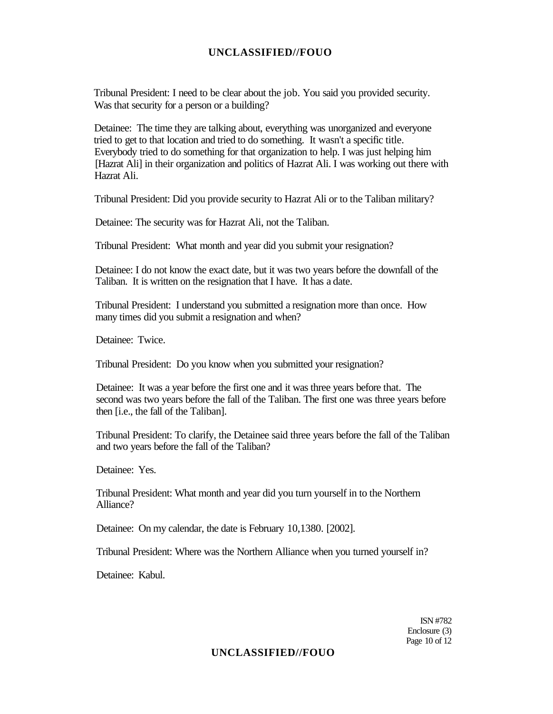Tribunal President: I need to be clear about the job. You said you provided security. Was that security for a person or a building?

Detainee: The time they are talking about, everything was unorganized and everyone tried to get to that location and tried to do something. It wasn't a specific title. Everybody tried to do something for that organization to help. I was just helping him [Hazrat Ali] in their organization and politics of Hazrat Ali. I was working out there with Hazrat Ali.

Tribunal President: Did you provide security to Hazrat Ali or to the Taliban military?

Detainee: The security was for Hazrat Ali, not the Taliban.

Tribunal President: What month and year did you submit your resignation?

Detainee: I do not know the exact date, but it was two years before the downfall of the Taliban. It is written on the resignation that I have. It has a date.

Tribunal President: I understand you submitted a resignation more than once. How many times did you submit a resignation and when?

Detainee: Twice.

Tribunal President: Do you know when you submitted your resignation?

Detainee: It was a year before the first one and it was three years before that. The second was two years before the fall of the Taliban. The first one was three years before then [i.e., the fall of the Taliban].

Tribunal President: To clarify, the Detainee said three years before the fall of the Taliban and two years before the fall of the Taliban?

Detainee: Yes.

Tribunal President: What month and year did you turn yourself in to the Northern Alliance?

Detainee: On my calendar, the date is February 10,1380. [2002].

Tribunal President: Where was the Northern Alliance when you turned yourself in?

Detainee: Kabul.

ISN #782 Enclosure (3) Page 10 of 12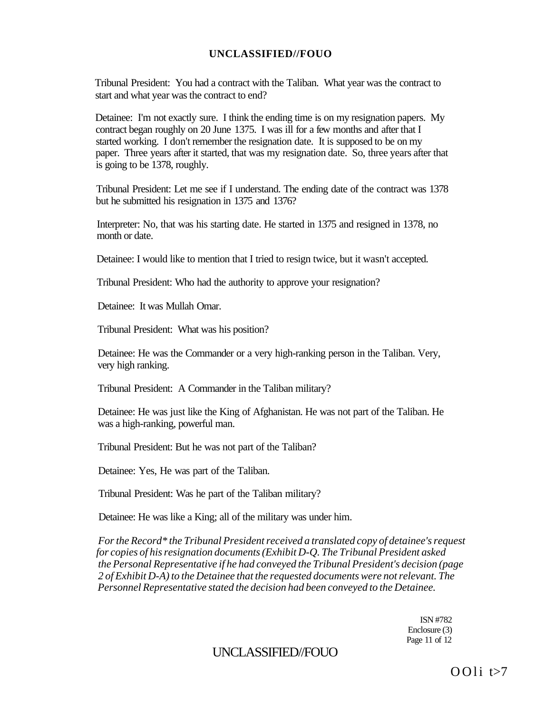Tribunal President: You had a contract with the Taliban. What year was the contract to start and what year was the contract to end?

Detainee: I'm not exactly sure. I think the ending time is on my resignation papers. My contract began roughly on 20 June 1375. I was ill for a few months and after that I started working. I don't remember the resignation date. It is supposed to be on my paper. Three years after it started, that was my resignation date. So, three years after that is going to be 1378, roughly.

Tribunal President: Let me see if I understand. The ending date of the contract was 1378 but he submitted his resignation in 1375 and 1376?

Interpreter: No, that was his starting date. He started in 1375 and resigned in 1378, no month or date.

Detainee: I would like to mention that I tried to resign twice, but it wasn't accepted.

Tribunal President: Who had the authority to approve your resignation?

Detainee: It was Mullah Omar.

Tribunal President: What was his position?

Detainee: He was the Commander or a very high-ranking person in the Taliban. Very, very high ranking.

Tribunal President: A Commander in the Taliban military?

Detainee: He was just like the King of Afghanistan. He was not part of the Taliban. He was a high-ranking, powerful man.

Tribunal President: But he was not part of the Taliban?

Detainee: Yes, He was part of the Taliban.

Tribunal President: Was he part of the Taliban military?

Detainee: He was like a King; all of the military was under him.

*For the Record\* the Tribunal President received a translated copy of detainee's request for copies of his resignation documents (Exhibit D-Q. The Tribunal President asked the Personal Representative if he had conveyed the Tribunal President's decision (page 2 of Exhibit D-A) to the Detainee that the requested documents were not relevant. The Personnel Representative stated the decision had been conveyed to the Detainee.* 

> ISN #782 Enclosure (3) Page 11 of 12

# UNCLASSIFIED//FOUO

 $00li$  t>7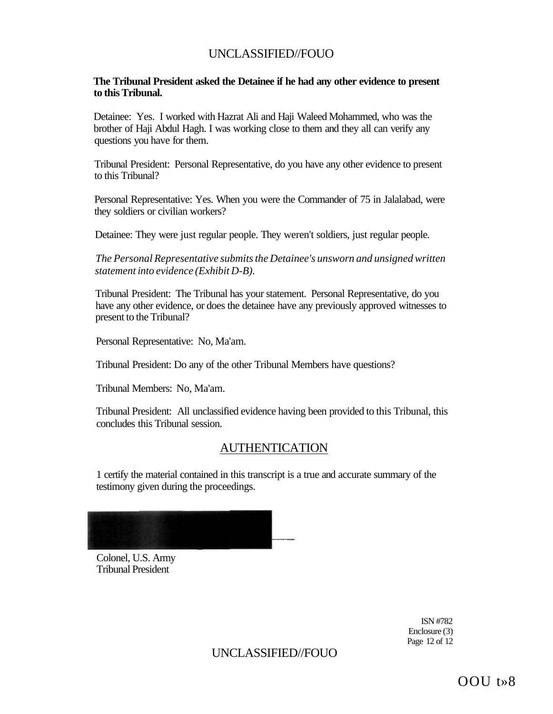## **The Tribunal President asked the Detainee if he had any other evidence to present to this Tribunal.**

Detainee: Yes. I worked with Hazrat Ali and Haji Waleed Mohammed, who was the brother of Haji Abdul Hagh. I was working close to them and they all can verify any questions you have for them.

Tribunal President: Personal Representative, do you have any other evidence to present to this Tribunal?

Personal Representative: Yes. When you were the Commander of 75 in Jalalabad, were they soldiers or civilian workers?

Detainee: They were just regular people. They weren't soldiers, just regular people.

*The Personal Representative submits the Detainee's unsworn and unsigned written statement into evidence (Exhibit D-B).* 

Tribunal President: The Tribunal has your statement. Personal Representative, do you have any other evidence, or does the detainee have any previously approved witnesses to present to the Tribunal?

Personal Representative: No, Ma'am.

Tribunal President: Do any of the other Tribunal Members have questions?

Tribunal Members: No, Ma'am.

Tribunal President: All unclassified evidence having been provided to this Tribunal, this concludes this Tribunal session.

## **AUTHENTICATION**

1 certify the material contained in this transcript is a true and accurate summary of the testimony given during the proceedings.



Colonel, U.S. Army Tribunal President

> ISN #782 Enclosure (3) Page 12 of 12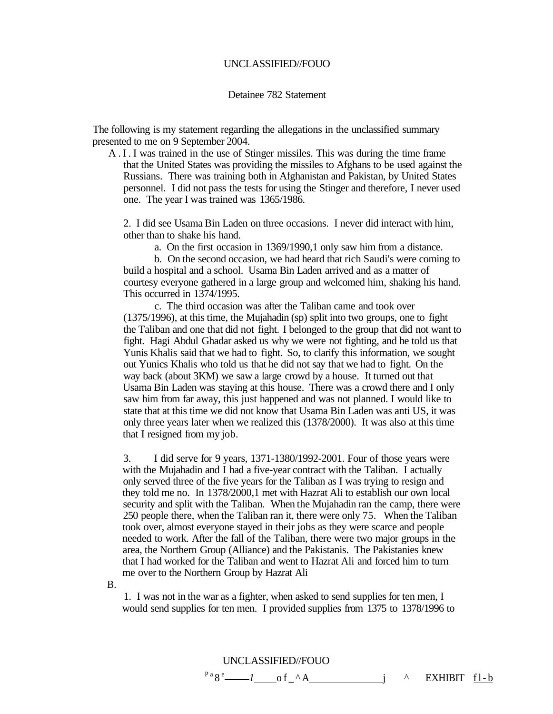#### Detainee 782 Statement

The following is my statement regarding the allegations in the unclassified summary presented to me on 9 September 2004.

A.I. I was trained in the use of Stinger missiles. This was during the time frame that the United States was providing the missiles to Afghans to be used against the Russians. There was training both in Afghanistan and Pakistan, by United States personnel. I did not pass the tests for using the Stinger and therefore, I never used one. The year I was trained was 1365/1986.

2. I did see Usama Bin Laden on three occasions. I never did interact with him, other than to shake his hand.

a. On the first occasion in 1369/1990,1 only saw him from a distance.

b. On the second occasion, we had heard that rich Saudi's were coming to build a hospital and a school. Usama Bin Laden arrived and as a matter of courtesy everyone gathered in a large group and welcomed him, shaking his hand. This occurred in 1374/1995.

c. The third occasion was after the Taliban came and took over (1375/1996), at this time, the Mujahadin (sp) split into two groups, one to fight the Taliban and one that did not fight. I belonged to the group that did not want to fight. Hagi Abdul Ghadar asked us why we were not fighting, and he told us that Yunis Khalis said that we had to fight. So, to clarify this information, we sought out Yunics Khalis who told us that he did not say that we had to fight. On the way back (about 3KM) we saw a large crowd by a house. It turned out that Usama Bin Laden was staying at this house. There was a crowd there and I only saw him from far away, this just happened and was not planned. I would like to state that at this time we did not know that Usama Bin Laden was anti US, it was only three years later when we realized this (1378/2000). It was also at this time that I resigned from my job.

3. I did serve for 9 years, 1371-1380/1992-2001. Four of those years were with the Mujahadin and I had a five-year contract with the Taliban. I actually only served three of the five years for the Taliban as I was trying to resign and they told me no. In 1378/2000,1 met with Hazrat Ali to establish our own local security and split with the Taliban. When the Mujahadin ran the camp, there were 250 people there, when the Taliban ran it, there were only 75. When the Taliban took over, almost everyone stayed in their jobs as they were scarce and people needed to work. After the fall of the Taliban, there were two major groups in the area, the Northern Group (Alliance) and the Pakistanis. The Pakistanies knew that I had worked for the Taliban and went to Hazrat Ali and forced him to turn me over to the Northern Group by Hazrat Ali

B.

1. I was not in the war as a fighter, when asked to send supplies for ten men, I would send supplies for ten men. I provided supplies from 1375 to 1378/1996 to

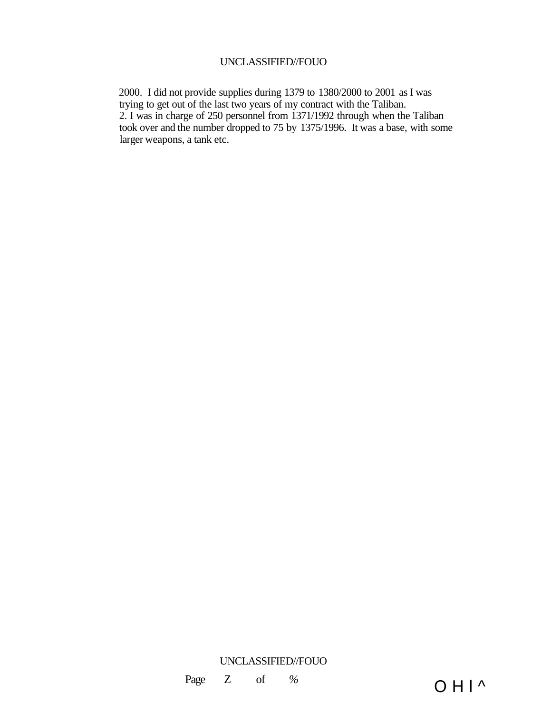2000. I did not provide supplies during 1379 to 1380/2000 to 2001 as I was trying to get out of the last two years of my contract with the Taliban. 2. I was in charge of 250 personnel from 1371/1992 through when the Taliban took over and the number dropped to 75 by 1375/1996. It was a base, with some larger weapons, a tank etc.

# UNCLASSIFIED//FOUO

Page Z of  $%$  **OHI**  $\wedge$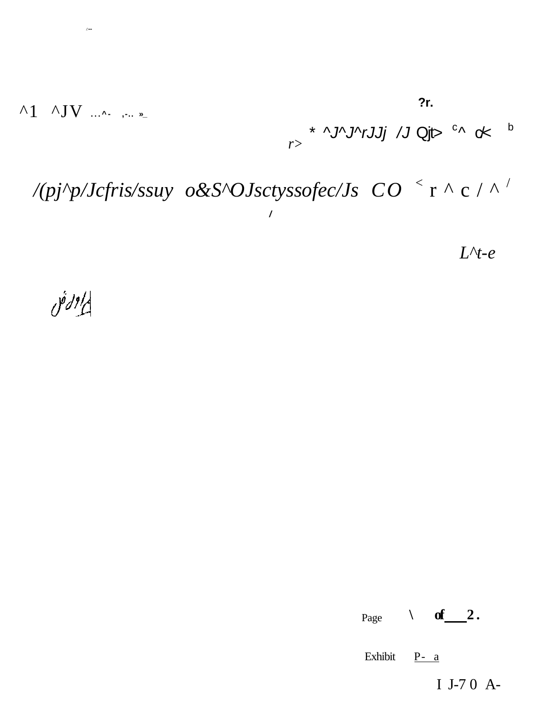# ^1 ^JV **...^ - ,-.. »\_**

/:•••

**?r.** 

\*  $\wedge$ J $\wedge$ J $\wedge$ rJJj /J Qjt $>$  <sup>c</sup> $\wedge$  ok  $\swarrow$ *r>* 

/(pj^p/Jcfris/ssuy o&S^OJsctyssofec/Js CO<sup><r/> <r/> ^ c/^ /</sup> **/** 

*L^t-e* 

ليرادارض

Page  $\sqrt{gt}$  **of**  $2$ .

Exhibit  $P - a$ 

I J-7 0 A-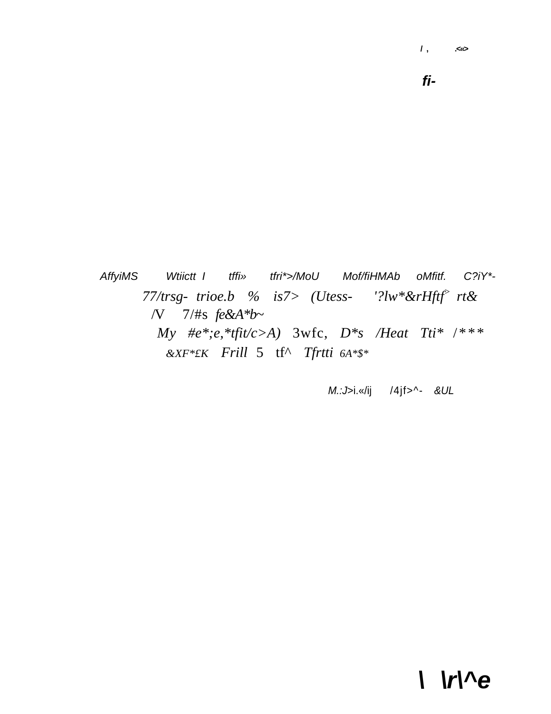AffyiMS Wtiictt I tffi» tfri\*>/MoU Mof/fiHMAb oMfitf. C?iY\*- *77/trsg- trioe.b % is7> (Utess- '?lw\*&rHftf<sup>&</sup>gt; rt&*  /V 7/#s *fe&A\*b~ My #e\*;e,\*tfit/c>A)* 3wfc, *D\*s /Heat Tti\** /\*\*\* *&XF\*£K Frill* 5 tf^ *Tfrtti 6A\*\$\** 

M.:J>i.«/ij /4jf>^- &UL

**/ , .<«>** 

**fi-**

**\ \r\^e**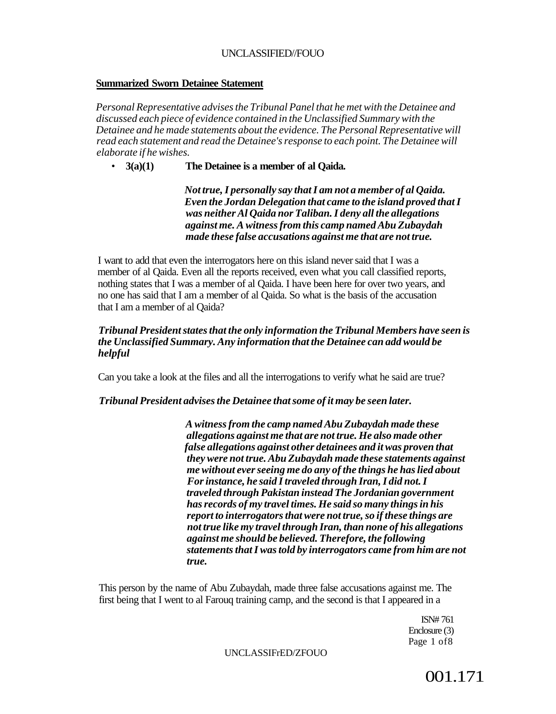## **Summarized Sworn Detainee Statement**

*Personal Representative advises the Tribunal Panel that he met with the Detainee and discussed each piece of evidence contained in the Unclassified Summary with the Detainee and he made statements about the evidence. The Personal Representative will read each statement and read the Detainee's response to each point. The Detainee will elaborate if he wishes.* 

• **3(a)(1) The Detainee is a member of al Qaida.** 

*Not true, I personally say that I am not a member of al Qaida. Even the Jordan Delegation that came to the island proved that I was neither Al Qaida nor Taliban. I deny all the allegations against me. A witness from this camp named Abu Zubaydah made these false accusations against me that are not true.* 

I want to add that even the interrogators here on this island never said that I was a member of al Qaida. Even all the reports received, even what you call classified reports, nothing states that I was a member of al Qaida. I have been here for over two years, and no one has said that I am a member of al Qaida. So what is the basis of the accusation that I am a member of al Qaida?

## *Tribunal President states that the only information the Tribunal Members have seen is the Unclassified Summary. Any information that the Detainee can add would be helpful*

Can you take a look at the files and all the interrogations to verify what he said are true?

## *Tribunal President advises the Detainee that some of it may be seen later.*

*A witness from the camp named Abu Zubaydah made these allegations against me that are not true. He also made other false allegations against other detainees and it was proven that they were not true. Abu Zubaydah made these statements against me without ever seeing me do any of the things he has lied about For instance, he said I traveled through Iran, I did not. I traveled through Pakistan instead The Jordanian government has records of my travel times. He said so many things in his report to interrogators that were not true, so if these things are not true like my travel through Iran, than none of his allegations against me should be believed. Therefore, the following statements that I was told by interrogators came from him are not true.* 

This person by the name of Abu Zubaydah, made three false accusations against me. The first being that I went to al Farouq training camp, and the second is that I appeared in a

> ISN# 761 Enclosure (3) Page 1 of8

UNCLASSIFrED/ZFOUO

001.171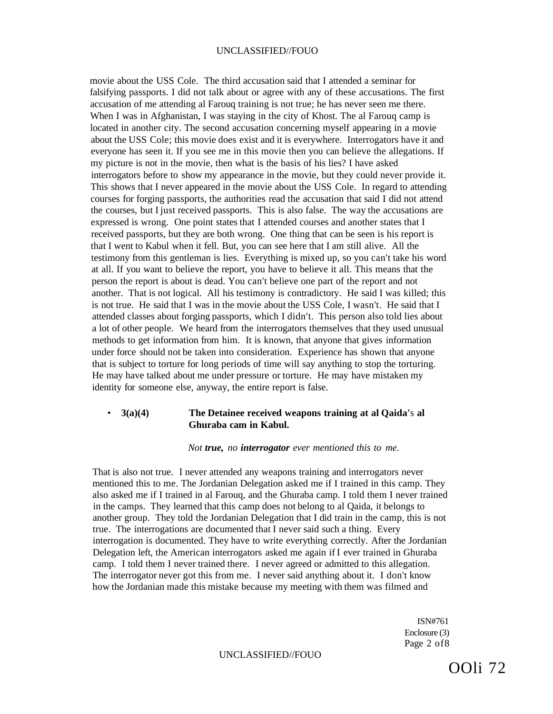movie about the USS Cole. The third accusation said that I attended a seminar for falsifying passports. I did not talk about or agree with any of these accusations. The first accusation of me attending al Farouq training is not true; he has never seen me there. When I was in Afghanistan, I was staying in the city of Khost. The al Farouq camp is located in another city. The second accusation concerning myself appearing in a movie about the USS Cole; this movie does exist and it is everywhere. Interrogators have it and everyone has seen it. If you see me in this movie then you can believe the allegations. If my picture is not in the movie, then what is the basis of his lies? I have asked interrogators before to show my appearance in the movie, but they could never provide it. This shows that I never appeared in the movie about the USS Cole. In regard to attending courses for forging passports, the authorities read the accusation that said I did not attend the courses, but I just received passports. This is also false. The way the accusations are expressed is wrong. One point states that I attended courses and another states that I received passports, but they are both wrong. One thing that can be seen is his report is that I went to Kabul when it fell. But, you can see here that I am still alive. All the testimony from this gentleman is lies. Everything is mixed up, so you can't take his word at all. If you want to believe the report, you have to believe it all. This means that the person the report is about is dead. You can't believe one part of the report and not another. That is not logical. All his testimony is contradictory. He said I was killed; this is not true. He said that I was in the movie about the USS Cole, I wasn't. He said that I attended classes about forging passports, which I didn't. This person also told lies about a lot of other people. We heard from the interrogators themselves that they used unusual methods to get information from him. It is known, that anyone that gives information under force should not be taken into consideration. Experience has shown that anyone that is subject to torture for long periods of time will say anything to stop the torturing. He may have talked about me under pressure or torture. He may have mistaken my identity for someone else, anyway, the entire report is false.

## • **3(a)(4) The Detainee received weapons training at al Qaida'**s **al Ghuraba cam in Kabul.**

*Not true, no interrogator ever mentioned this to me.* 

That is also not true. I never attended any weapons training and interrogators never mentioned this to me. The Jordanian Delegation asked me if I trained in this camp. They also asked me if I trained in al Farouq, and the Ghuraba camp. I told them I never trained in the camps. They learned that this camp does not belong to al Qaida, it belongs to another group. They told the Jordanian Delegation that I did train in the camp, this is not true. The interrogations are documented that I never said such a thing. Every interrogation is documented. They have to write everything correctly. After the Jordanian Delegation left, the American interrogators asked me again if I ever trained in Ghuraba camp. I told them I never trained there. I never agreed or admitted to this allegation. The interrogator never got this from me. I never said anything about it. I don't know how the Jordanian made this mistake because my meeting with them was filmed and

> ISN#761 Enclosure (3) Page 2 of8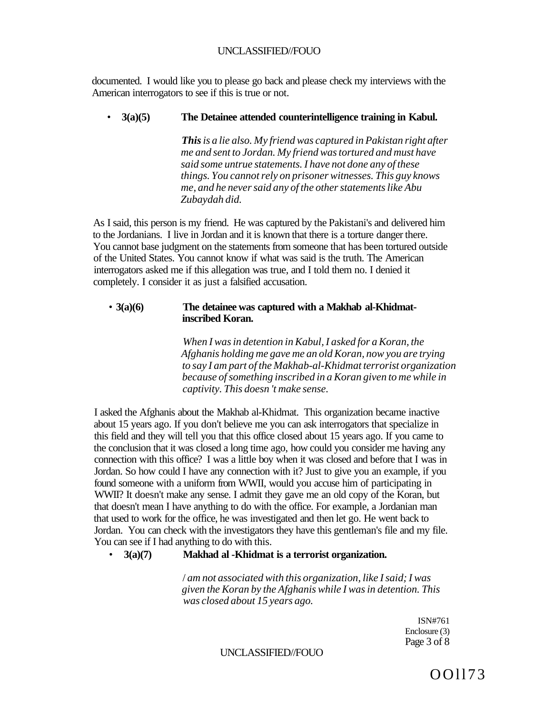documented. I would like you to please go back and please check my interviews with the American interrogators to see if this is true or not.

#### • **3(a)(5) The Detainee attended counterintelligence training in Kabul.**

*This is a lie also. My friend was captured in Pakistan right after me and sent to Jordan. My friend was tortured and must have said some untrue statements. I have not done any of these things. You cannot rely on prisoner witnesses. This guy knows me, and he never said any of the other statements like Abu Zubaydah did.* 

As I said, this person is my friend. He was captured by the Pakistani's and delivered him to the Jordanians. I live in Jordan and it is known that there is a torture danger there. You cannot base judgment on the statements from someone that has been tortured outside of the United States. You cannot know if what was said is the truth. The American interrogators asked me if this allegation was true, and I told them no. I denied it completely. I consider it as just a falsified accusation.

#### • **3(a)(6) The detainee was captured with a Makhab al-Khidmatinscribed Koran.**

*When I was in detention in Kabul, I asked for a Koran, the Afghanis holding me gave me an old Koran, now you are trying to say I am part of the Makhab-al-Khidmat terrorist organization because of something inscribed in a Koran given to me while in captivity. This doesn 't make sense.* 

I asked the Afghanis about the Makhab al-Khidmat. This organization became inactive about 15 years ago. If you don't believe me you can ask interrogators that specialize in this field and they will tell you that this office closed about 15 years ago. If you came to the conclusion that it was closed a long time ago, how could you consider me having any connection with this office? I was a little boy when it was closed and before that I was in Jordan. So how could I have any connection with it? Just to give you an example, if you found someone with a uniform from WWII, would you accuse him of participating in WWII? It doesn't make any sense. I admit they gave me an old copy of the Koran, but that doesn't mean I have anything to do with the office. For example, a Jordanian man that used to work for the office, he was investigated and then let go. He went back to Jordan. You can check with the investigators they have this gentleman's file and my file. You can see if I had anything to do with this.

## • **3(a)(7) Makhad al -Khidmat is a terrorist organization.**

/ *am not associated with this organization, like I said; I was given the Koran by the Afghanis while I was in detention. This was closed about 15 years ago.* 

> ISN#761 Enclosure (3) Page 3 of 8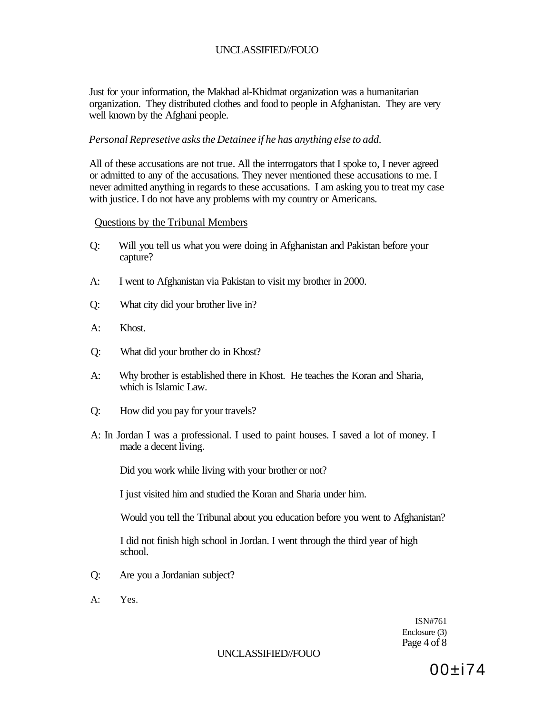Just for your information, the Makhad al-Khidmat organization was a humanitarian organization. They distributed clothes and food to people in Afghanistan. They are very well known by the Afghani people.

## *Personal Represetive asks the Detainee if he has anything else to add.*

All of these accusations are not true. All the interrogators that I spoke to, I never agreed or admitted to any of the accusations. They never mentioned these accusations to me. I never admitted anything in regards to these accusations. I am asking you to treat my case with justice. I do not have any problems with my country or Americans.

## Questions by the Tribunal Members

- Q: Will you tell us what you were doing in Afghanistan and Pakistan before your capture?
- A: I went to Afghanistan via Pakistan to visit my brother in 2000.
- Q: What city did your brother live in?
- A: Khost.
- Q: What did your brother do in Khost?
- A: Why brother is established there in Khost. He teaches the Koran and Sharia, which is Islamic Law.
- Q: How did you pay for your travels?
- A: In Jordan I was a professional. I used to paint houses. I saved a lot of money. I made a decent living.

Did you work while living with your brother or not?

I just visited him and studied the Koran and Sharia under him.

Would you tell the Tribunal about you education before you went to Afghanistan?

I did not finish high school in Jordan. I went through the third year of high school.

- Q: Are you a Jordanian subject?
- A: Yes.

ISN#761 Enclosure (3) Page 4 of 8

## UNCLASSIFIED//FOUO

 $00 + i74$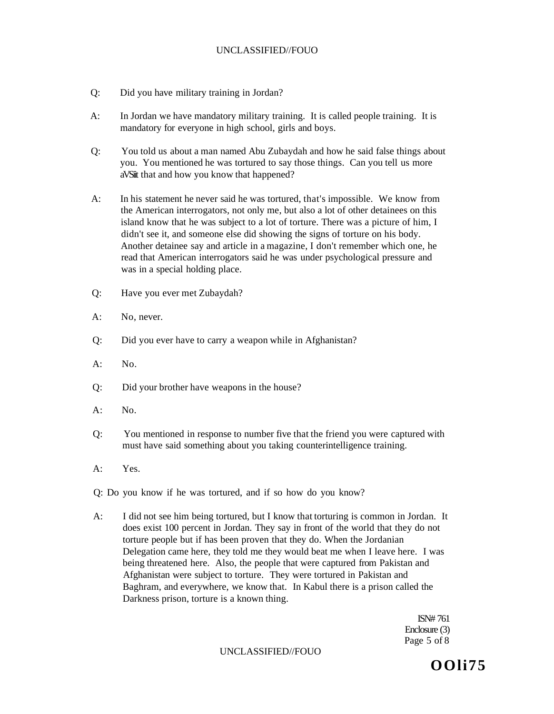- Q: Did you have military training in Jordan?
- A: In Jordan we have mandatory military training. It is called people training. It is mandatory for everyone in high school, girls and boys.
- Q: You told us about a man named Abu Zubaydah and how he said false things about you. You mentioned he was tortured to say those things. Can you tell us more aVSiit that and how you know that happened?
- A: In his statement he never said he was tortured, that's impossible. We know from the American interrogators, not only me, but also a lot of other detainees on this island know that he was subject to a lot of torture. There was a picture of him, I didn't see it, and someone else did showing the signs of torture on his body. Another detainee say and article in a magazine, I don't remember which one, he read that American interrogators said he was under psychological pressure and was in a special holding place.
- Q: Have you ever met Zubaydah?
- A: No, never.
- Q: Did you ever have to carry a weapon while in Afghanistan?
- $A:$  No.
- Q: Did your brother have weapons in the house?
- A: No.
- Q: You mentioned in response to number five that the friend you were captured with must have said something about you taking counterintelligence training.
- $A^{\cdot}$  Yes.
- Q: Do you know if he was tortured, and if so how do you know?
- A: I did not see him being tortured, but I know that torturing is common in Jordan. It does exist 100 percent in Jordan. They say in front of the world that they do not torture people but if has been proven that they do. When the Jordanian Delegation came here, they told me they would beat me when I leave here. I was being threatened here. Also, the people that were captured from Pakistan and Afghanistan were subject to torture. They were tortured in Pakistan and Baghram, and everywhere, we know that. In Kabul there is a prison called the Darkness prison, torture is a known thing.

ISN# 761 Enclosure (3) Page 5 of 8

UNCLASSIFIED//FOUO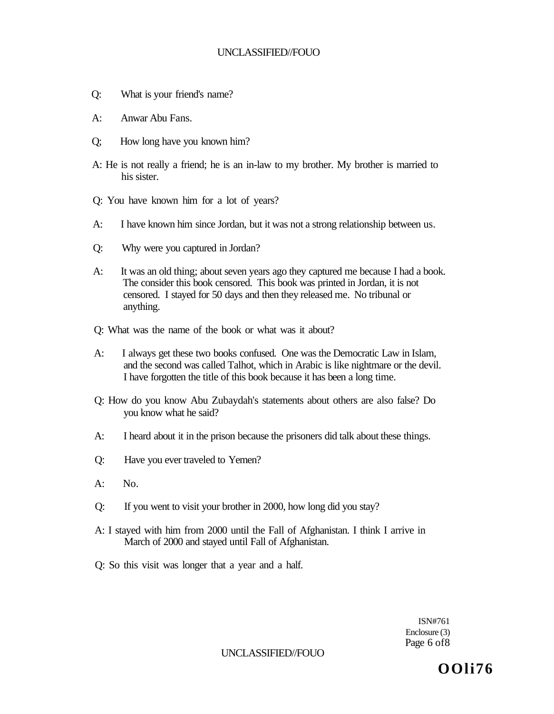- Q: What is your friend's name?
- A: Anwar Abu Fans.
- Q; How long have you known him?
- A: He is not really a friend; he is an in-law to my brother. My brother is married to his sister.
- Q: You have known him for a lot of years?
- A: I have known him since Jordan, but it was not a strong relationship between us.
- Q: Why were you captured in Jordan?
- A: It was an old thing; about seven years ago they captured me because I had a book. The consider this book censored. This book was printed in Jordan, it is not censored. I stayed for 50 days and then they released me. No tribunal or anything.
- Q: What was the name of the book or what was it about?
- A: I always get these two books confused. One was the Democratic Law in Islam, and the second was called Talhot, which in Arabic is like nightmare or the devil. I have forgotten the title of this book because it has been a long time.
- Q: How do you know Abu Zubaydah's statements about others are also false? Do you know what he said?
- A: I heard about it in the prison because the prisoners did talk about these things.
- Q: Have you ever traveled to Yemen?
- $A:$  No.
- Q: If you went to visit your brother in 2000, how long did you stay?
- A: I stayed with him from 2000 until the Fall of Afghanistan. I think I arrive in March of 2000 and stayed until Fall of Afghanistan.
- Q: So this visit was longer that a year and a half.

ISN#761 Enclosure (3) Page 6 of8

UNCLASSIFIED//FOUO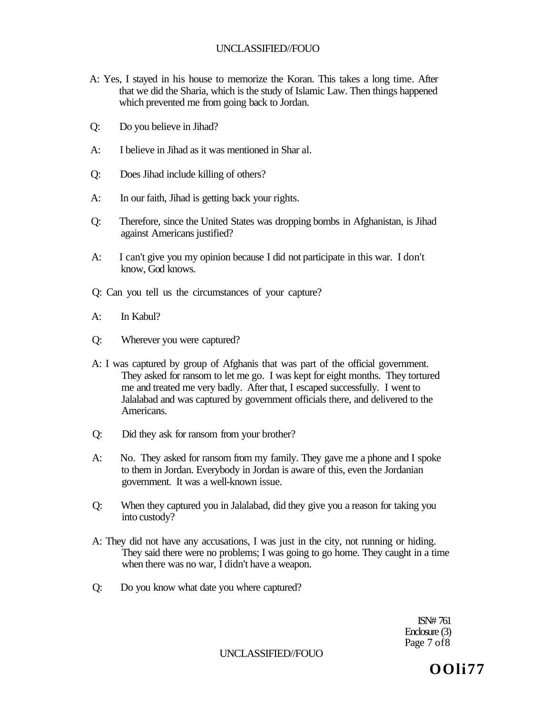- A: Yes, I stayed in his house to memorize the Koran. This takes a long time. After that we did the Sharia, which is the study of Islamic Law. Then things happened which prevented me from going back to Jordan.
- Q: Do you believe in Jihad?
- A: I believe in Jihad as it was mentioned in Shar al.
- Q: Does Jihad include killing of others?
- A: In our faith, Jihad is getting back your rights.
- Q: Therefore, since the United States was dropping bombs in Afghanistan, is Jihad against Americans justified?
- A: I can't give you my opinion because I did not participate in this war. I don't know, God knows.
- Q: Can you tell us the circumstances of your capture?
- A: In Kabul?
- Q: Wherever you were captured?
- A: I was captured by group of Afghanis that was part of the official government. They asked for ransom to let me go. I was kept for eight months. They tortured me and treated me very badly. After that, I escaped successfully. I went to Jalalabad and was captured by government officials there, and delivered to the Americans.
- Q: Did they ask for ransom from your brother?
- A: No. They asked for ransom from my family. They gave me a phone and I spoke to them in Jordan. Everybody in Jordan is aware of this, even the Jordanian government. It was a well-known issue.
- Q: When they captured you in Jalalabad, did they give you a reason for taking you into custody?
- A: They did not have any accusations, I was just in the city, not running or hiding. They said there were no problems; I was going to go home. They caught in a time when there was no war, I didn't have a weapon.
- Q: Do you know what date you where captured?

ISN# 761 Enclosure (3) Page 7 of8

UNCLASSIFIED//FOUO